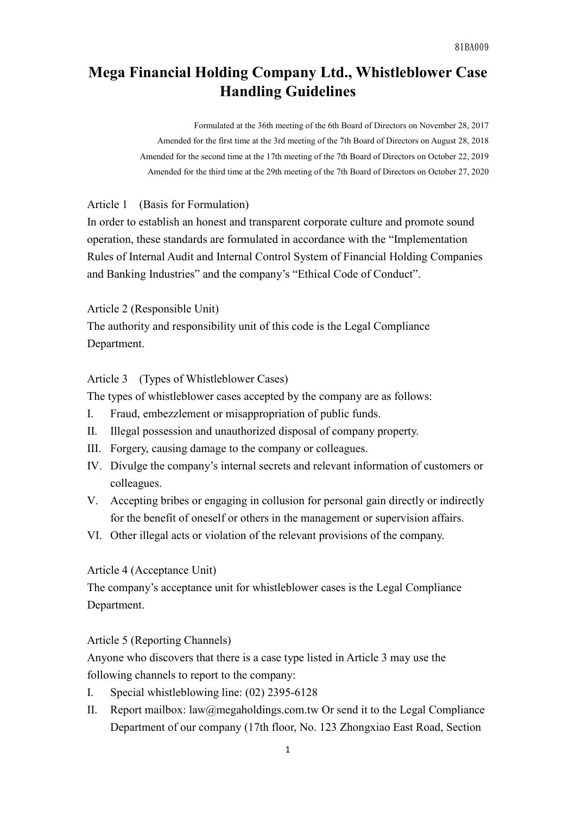# **Mega Financial Holding Company Ltd., Whistleblower Case Handling Guidelines**

Formulated at the 36th meeting of the 6th Board of Directors on November 28, 2017 Amended for the first time at the 3rd meeting of the 7th Board of Directors on August 28, 2018 Amended for the second time at the 17th meeting of the 7th Board of Directors on October 22, 2019 Amended for the third time at the 29th meeting of the 7th Board of Directors on October 27, 2020

#### Article 1 (Basis for Formulation)

In order to establish an honest and transparent corporate culture and promote sound operation, these standards are formulated in accordance with the "Implementation Rules of Internal Audit and Internal Control System of Financial Holding Companies and Banking Industries" and the company's "Ethical Code of Conduct".

Article 2 (Responsible Unit)

The authority and responsibility unit of this code is the Legal Compliance Department.

Article 3 (Types of Whistleblower Cases)

The types of whistleblower cases accepted by the company are as follows:

- I. Fraud, embezzlement or misappropriation of public funds.
- II. Illegal possession and unauthorized disposal of company property.
- III. Forgery, causing damage to the company or colleagues.
- IV. Divulge the company's internal secrets and relevant information of customers or colleagues.
- V. Accepting bribes or engaging in collusion for personal gain directly or indirectly for the benefit of oneself or others in the management or supervision affairs.
- VI. Other illegal acts or violation of the relevant provisions of the company.

#### Article 4 (Acceptance Unit)

The company's acceptance unit for whistleblower cases is the Legal Compliance Department.

# Article 5 (Reporting Channels)

Anyone who discovers that there is a case type listed in Article 3 may use the following channels to report to the company:

- I. Special whistleblowing line: (02) 2395-6128
- II. Report mailbox: [law@megaholdings.com.tw](mailto:law@megaholdings.com.tw) Or send it to the Legal Compliance Department of our company (17th floor, No. 123 Zhongxiao East Road, Section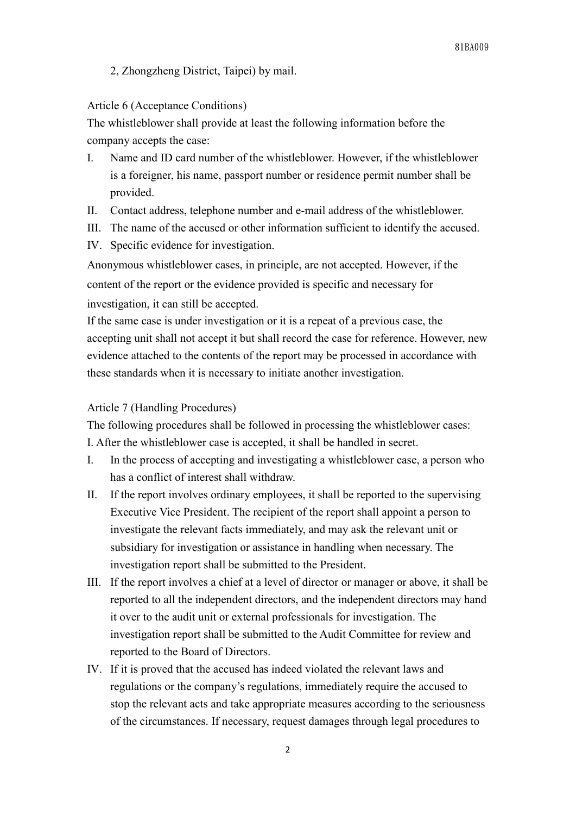# 2, Zhongzheng District, Taipei) by mail.

# Article 6 (Acceptance Conditions)

The whistleblower shall provide at least the following information before the company accepts the case:

- I. Name and ID card number of the whistleblower. However, if the whistleblower is a foreigner, his name, passport number or residence permit number shall be provided.
- II. Contact address, telephone number and e-mail address of the whistleblower.
- III. The name of the accused or other information sufficient to identify the accused.
- IV. Specific evidence for investigation.

Anonymous whistleblower cases, in principle, are not accepted. However, if the content of the report or the evidence provided is specific and necessary for

investigation, it can still be accepted.

If the same case is under investigation or it is a repeat of a previous case, the accepting unit shall not accept it but shall record the case for reference. However, new evidence attached to the contents of the report may be processed in accordance with these standards when it is necessary to initiate another investigation.

## Article 7 (Handling Procedures)

The following procedures shall be followed in processing the whistleblower cases: I. After the whistleblower case is accepted, it shall be handled in secret.

- I. In the process of accepting and investigating a whistleblower case, a person who has a conflict of interest shall withdraw.
- II. If the report involves ordinary employees, it shall be reported to the supervising Executive Vice President. The recipient of the report shall appoint a person to investigate the relevant facts immediately, and may ask the relevant unit or subsidiary for investigation or assistance in handling when necessary. The investigation report shall be submitted to the President.
- III. If the report involves a chief at a level of director or manager or above, it shall be reported to all the independent directors, and the independent directors may hand it over to the audit unit or external professionals for investigation. The investigation report shall be submitted to the Audit Committee for review and reported to the Board of Directors.
- IV. If it is proved that the accused has indeed violated the relevant laws and regulations or the company's regulations, immediately require the accused to stop the relevant acts and take appropriate measures according to the seriousness of the circumstances. If necessary, request damages through legal procedures to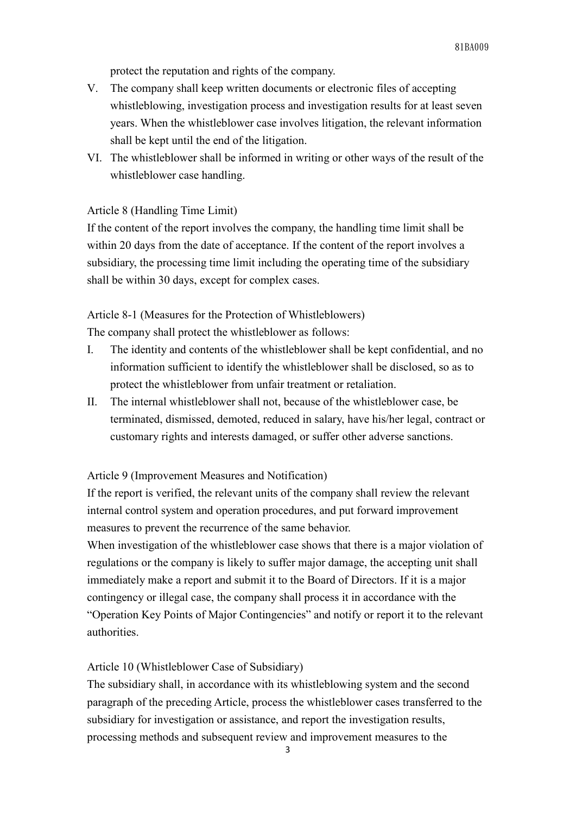protect the reputation and rights of the company.

- V. The company shall keep written documents or electronic files of accepting whistleblowing, investigation process and investigation results for at least seven years. When the whistleblower case involves litigation, the relevant information shall be kept until the end of the litigation.
- VI. The whistleblower shall be informed in writing or other ways of the result of the whistleblower case handling.

# Article 8 (Handling Time Limit)

If the content of the report involves the company, the handling time limit shall be within 20 days from the date of acceptance. If the content of the report involves a subsidiary, the processing time limit including the operating time of the subsidiary shall be within 30 days, except for complex cases.

Article 8-1 (Measures for the Protection of Whistleblowers)

The company shall protect the whistleblower as follows:

- I. The identity and contents of the whistleblower shall be kept confidential, and no information sufficient to identify the whistleblower shall be disclosed, so as to protect the whistleblower from unfair treatment or retaliation.
- II. The internal whistleblower shall not, because of the whistleblower case, be terminated, dismissed, demoted, reduced in salary, have his/her legal, contract or customary rights and interests damaged, or suffer other adverse sanctions.

Article 9 (Improvement Measures and Notification)

If the report is verified, the relevant units of the company shall review the relevant internal control system and operation procedures, and put forward improvement measures to prevent the recurrence of the same behavior.

When investigation of the whistleblower case shows that there is a major violation of regulations or the company is likely to suffer major damage, the accepting unit shall immediately make a report and submit it to the Board of Directors. If it is a major contingency or illegal case, the company shall process it in accordance with the "Operation Key Points of Major Contingencies" and notify or report it to the relevant authorities.

# Article 10 (Whistleblower Case of Subsidiary)

The subsidiary shall, in accordance with its whistleblowing system and the second paragraph of the preceding Article, process the whistleblower cases transferred to the subsidiary for investigation or assistance, and report the investigation results, processing methods and subsequent review and improvement measures to the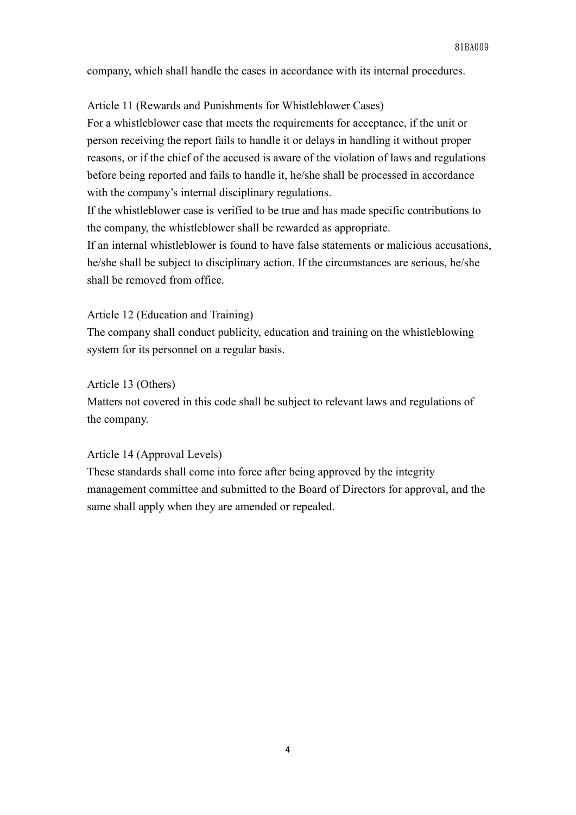company, which shall handle the cases in accordance with its internal procedures.

Article 11 (Rewards and Punishments for Whistleblower Cases)

For a whistleblower case that meets the requirements for acceptance, if the unit or person receiving the report fails to handle it or delays in handling it without proper reasons, or if the chief of the accused is aware of the violation of laws and regulations before being reported and fails to handle it, he/she shall be processed in accordance with the company's internal disciplinary regulations.

If the whistleblower case is verified to be true and has made specific contributions to the company, the whistleblower shall be rewarded as appropriate.

If an internal whistleblower is found to have false statements or malicious accusations, he/she shall be subject to disciplinary action. If the circumstances are serious, he/she shall be removed from office.

Article 12 (Education and Training)

The company shall conduct publicity, education and training on the whistleblowing system for its personnel on a regular basis.

Article 13 (Others)

Matters not covered in this code shall be subject to relevant laws and regulations of the company.

Article 14 (Approval Levels)

These standards shall come into force after being approved by the integrity management committee and submitted to the Board of Directors for approval, and the same shall apply when they are amended or repealed.